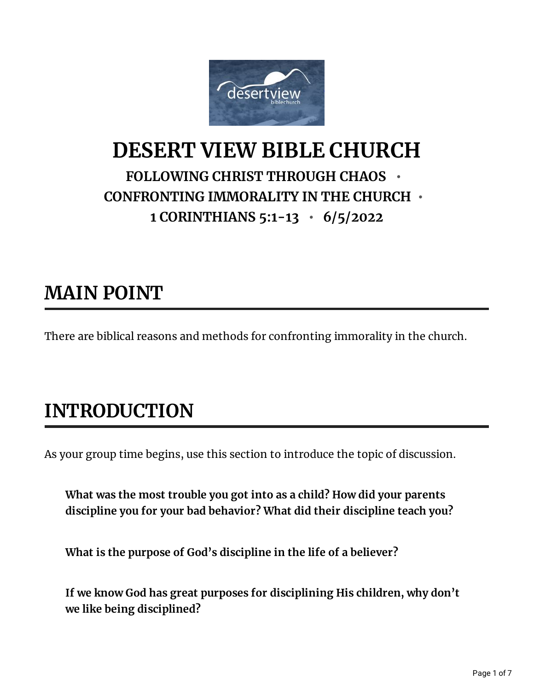

#### **DESERT VIEW BIBLE CHURCH FOLLOWING CHRIST THROUGH CHAOS • CONFRONTING IMMORALITY IN THE CHURCH • 1 CORINTHIANS 5:1-13 • 6/5/2022**

### **MAIN POINT**

There are biblical reasons and methods for confronting immorality in the church.

# **INTRODUCTION**

As your group time begins, use this section to introduce the topic of discussion.

**What was the most trouble you got into as a child? How did your parents discipline you for your bad behavior? What did their discipline teach you?**

**What is the purpose of God's discipline in the life of a believer?**

**If we know God has great purposes for disciplining His children, why don't we like being disciplined?**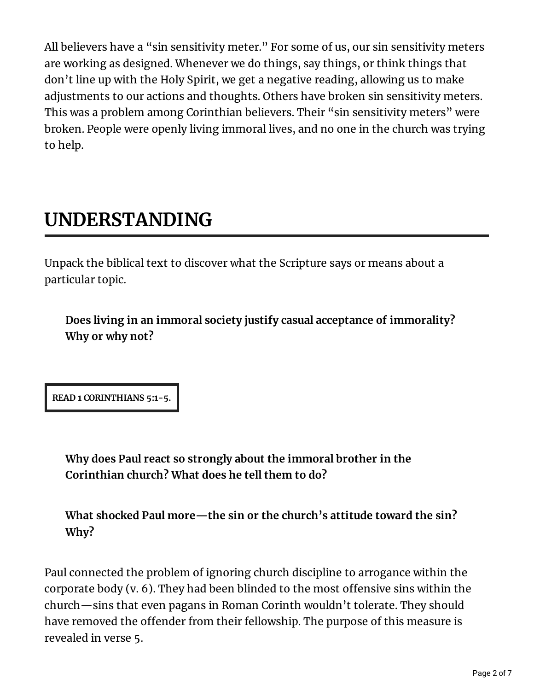All believers have a "sin sensitivity meter." For some of us, our sin sensitivity meters are working as designed. Whenever we do things, say things, or think things that don't line up with the Holy Spirit, we get a negative reading, allowing us to make adjustments to our actions and thoughts. Others have broken sin sensitivity meters. This was a problem among Corinthian believers. Their "sin sensitivity meters" were broken. People were openly living immoral lives, and no one in the church was trying to help.

## **UNDERSTANDING**

Unpack the biblical text to discover what the Scripture says or means about a particular topic.

**Does living in an immoral society justify casual acceptance of immorality? Why or why not?**

**READ 1 CORINTHIANS 5:1-5.**

**Why does Paul react so strongly about the immoral brother in the Corinthian church? What does he tell them to do?**

**What shocked Paul more—the sin or the church's attitude toward the sin? Why?**

Paul connected the problem of ignoring church discipline to arrogance within the corporate body  $(v. 6)$ . They had been blinded to the most offensive sins within the church—sins that even pagans in Roman Corinth wouldn't tolerate. They should have removed the offender from their fellowship. The purpose of this measure is revealed in verse 5.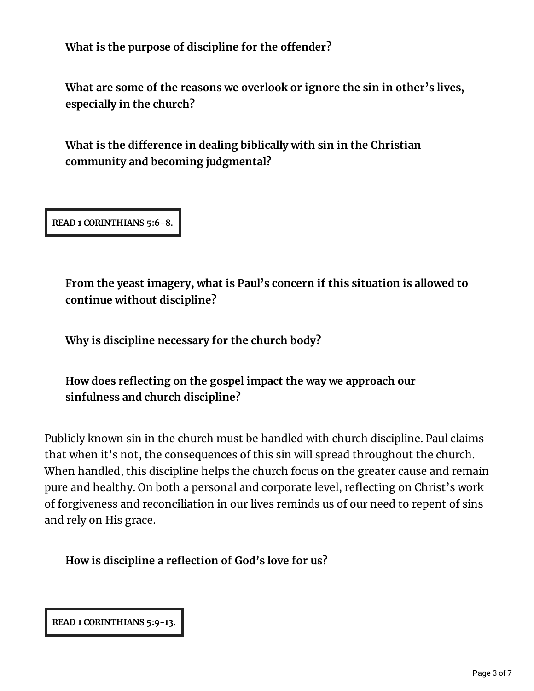**What** is the purpose of discipline for the offender?

**What are some of the reasons we overlook or ignore the sin in other's lives, especially in the church?**

**What is the dierence in dealing biblically with sin in the Christian community and becoming judgmental?**

**READ 1 CORINTHIANS 5:6-8.**

**From the yeast imagery, what is Paul's concern if this situation is allowed to continue without discipline?**

**Why is discipline necessary for the church body?**

**How does reecting on the gospel impact the way we approach our sinfulness and church discipline?**

Publicly known sin in the church must be handled with church discipline. Paul claims that when it's not, the consequences of this sin will spread throughout the church. When handled, this discipline helps the church focus on the greater cause and remain pure and healthy. On both a personal and corporate level, reflecting on Christ's work of forgiveness and reconciliation in our lives reminds us of our need to repent of sins and rely on His grace.

**How is discipline a reection of God's love for us?**

**READ 1 CORINTHIANS 5:9-13.**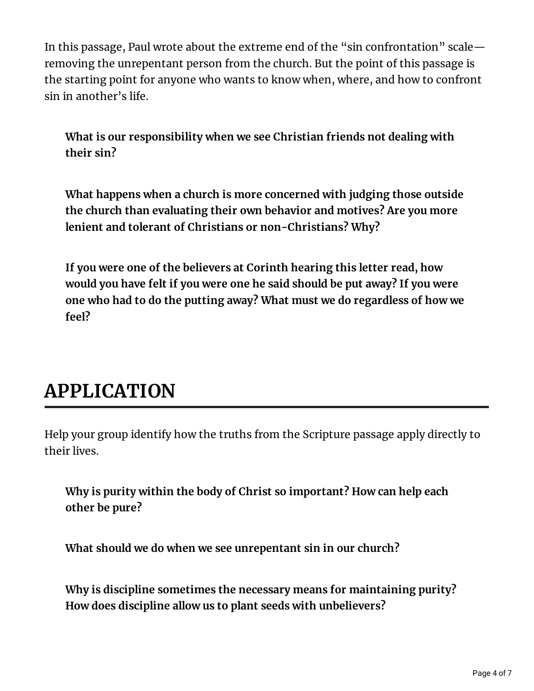In this passage, Paul wrote about the extreme end of the "sin confrontation" scale removing the unrepentant person from the church. But the point of this passage is the starting point for anyone who wants to know when, where, and how to confront sin in another's life.

**What is our responsibility when we see Christian friends not dealing with their sin?**

**What happens when a church is more concerned with judging those outside the church than evaluating their own behavior and motives? Are you more lenient and tolerant of Christians or non-Christians? Why?**

**If you were one of the believers at Corinth hearing this letter read, how would you have felt if you were one he said should be put away? If you were one who had to do the putting away? What must we do regardless of how we feel?**

### **APPLICATION**

Help your group identify how the truths from the Scripture passage apply directly to their lives.

**Why is purity within the body of Christ so important? How can help each other be pure?**

**What should we do when we see unrepentant sin in our church?**

**Why is discipline sometimes the necessary means for maintaining purity? How does discipline allow us to plant seeds with unbelievers?**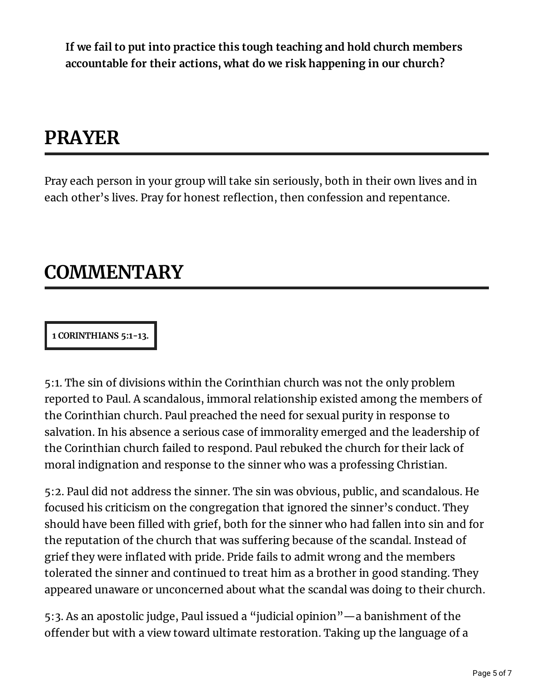**If we fail to put into practice this tough teaching and hold church members accountable for their actions, what do we risk happening in our church?**

## **PRAYER**

Pray each person in your group will take sin seriously, both in their own lives and in each other's lives. Pray for honest reflection, then confession and repentance.

#### **COMMENTARY**

#### **1 CORINTHIANS 5:1-13.**

5:1. The sin of divisions within the Corinthian church was not the only problem reported to Paul. A scandalous, immoral relationship existed among the members of the Corinthian church. Paul preached the need for sexual purity in response to salvation. In his absence a serious case of immorality emerged and the leadership of the Corinthian church failed to respond. Paul rebuked the church for their lack of moral indignation and response to the sinner who was a professing Christian.

5:2. Paul did not address the sinner. The sin was obvious, public, and scandalous. He focused his criticism on the congregation that ignored the sinner's conduct. They should have been filled with grief, both for the sinner who had fallen into sin and for the reputation of the church that was suffering because of the scandal. Instead of grief they were inflated with pride. Pride fails to admit wrong and the members tolerated the sinner and continued to treat him as a brother in good standing. They appeared unaware or unconcerned about what the scandal was doing to their church.

5:3. As an apostolic judge, Paul issued a "judicial opinion"—a banishment of the offender but with a view toward ultimate restoration. Taking up the language of a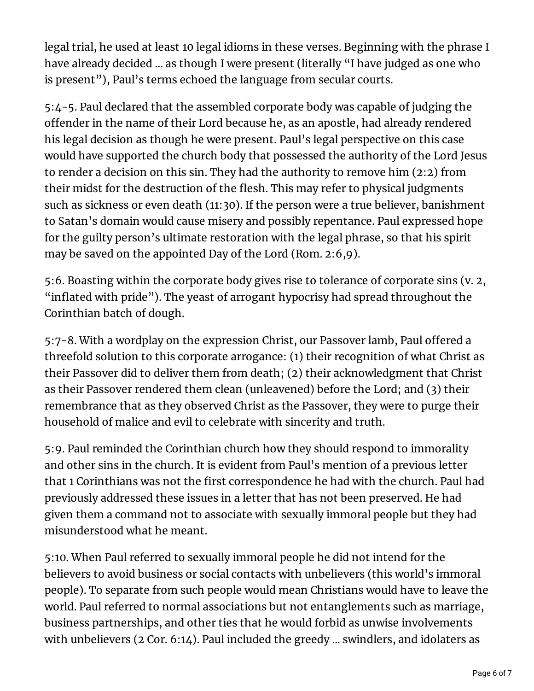legal trial, he used at least 10 legal idioms in these verses. Beginning with the phrase I have already decided ... as though I were present (literally "I have judged as one who is present"), Paul's terms echoed the language from secular courts.

5:4-5. Paul declared that the assembled corporate body was capable of judging the offender in the name of their Lord because he, as an apostle, had already rendered his legal decision as though he were present. Paul's legal perspective on this case would have supported the church body that possessed the authority of the Lord Jesus to render a decision on this sin. They had the authority to remove him (2:2) from their midst for the destruction of the flesh. This may refer to physical judgments such as sickness or even death (11:30). If the person were a true believer, banishment to Satan's domain would cause misery and possibly repentance. Paul expressed hope for the guilty person's ultimate restoration with the legal phrase, so that his spirit may be saved on the appointed Day of the Lord (Rom. 2:6,9).

5:6. Boasting within the corporate body gives rise to tolerance of corporate sins (v. 2, "inflated with pride"). The yeast of arrogant hypocrisy had spread throughout the Corinthian batch of dough.

5:7-8. With a wordplay on the expression Christ, our Passover lamb, Paul offered a threefold solution to this corporate arrogance: (1) their recognition of what Christ as their Passover did to deliver them from death; (2) their acknowledgment that Christ as their Passover rendered them clean (unleavened) before the Lord; and (3) their remembrance that as they observed Christ as the Passover, they were to purge their household of malice and evil to celebrate with sincerity and truth.

5:9. Paul reminded the Corinthian church how they should respond to immorality and other sins in the church. It is evident from Paul's mention of a previous letter that 1 Corinthians was not the first correspondence he had with the church. Paul had previously addressed these issues in a letter that has not been preserved. He had given them a command not to associate with sexually immoral people but they had misunderstood what he meant.

5:10. When Paul referred to sexually immoral people he did not intend for the believers to avoid business or social contacts with unbelievers (this world's immoral people). To separate from such people would mean Christians would have to leave the world. Paul referred to normal associations but not entanglements such as marriage, business partnerships, and other ties that he would forbid as unwise involvements with unbelievers (2 Cor. 6:14). Paul included the greedy ... swindlers, and idolaters as